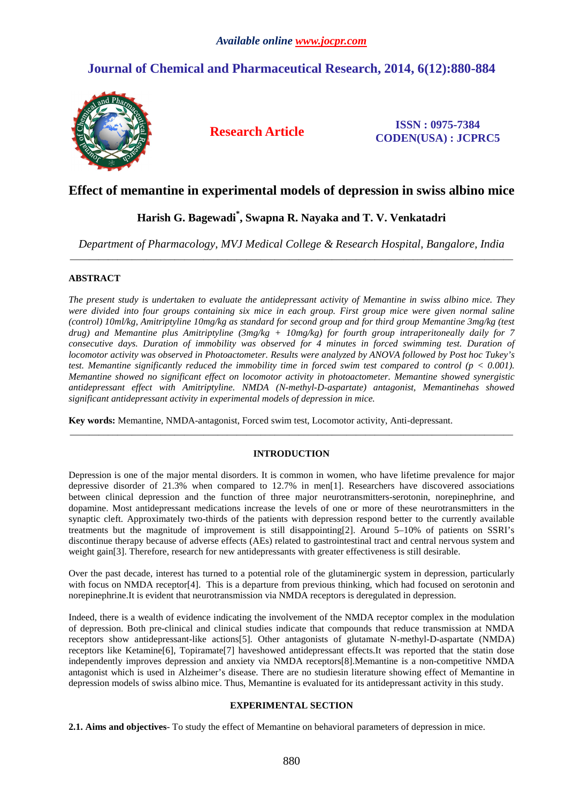# **Journal of Chemical and Pharmaceutical Research, 2014, 6(12):880-884**



**Research Article ISSN : 0975-7384 CODEN(USA) : JCPRC5**

## **Effect of memantine in experimental models of depression in swiss albino mice**

## **Harish G. Bagewadi\* , Swapna R. Nayaka and T. V. Venkatadri**

*Department of Pharmacology, MVJ Medical College & Research Hospital, Bangalore, India*  \_\_\_\_\_\_\_\_\_\_\_\_\_\_\_\_\_\_\_\_\_\_\_\_\_\_\_\_\_\_\_\_\_\_\_\_\_\_\_\_\_\_\_\_\_\_\_\_\_\_\_\_\_\_\_\_\_\_\_\_\_\_\_\_\_\_\_\_\_\_\_\_\_\_\_\_\_\_\_\_\_\_\_\_\_\_\_\_\_\_\_\_\_

## **ABSTRACT**

*The present study is undertaken to evaluate the antidepressant activity of Memantine in swiss albino mice. They were divided into four groups containing six mice in each group. First group mice were given normal saline (control) 10ml/kg, Amitriptyline 10mg/kg as standard for second group and for third group Memantine 3mg/kg (test drug) and Memantine plus Amitriptyline (3mg/kg + 10mg/kg) for fourth group intraperitoneally daily for 7 consecutive days. Duration of immobility was observed for 4 minutes in forced swimming test. Duration of locomotor activity was observed in Photoactometer. Results were analyzed by ANOVA followed by Post hoc Tukey's test. Memantine significantly reduced the immobility time in forced swim test compared to control (p < 0.001). Memantine showed no significant effect on locomotor activity in photoactometer. Memantine showed synergistic antidepressant effect with Amitriptyline. NMDA (N-methyl-D-aspartate) antagonist, Memantinehas showed significant antidepressant activity in experimental models of depression in mice.* 

**Key words:** Memantine, NMDA-antagonist, Forced swim test, Locomotor activity, Anti-depressant.

## **INTRODUCTION**

\_\_\_\_\_\_\_\_\_\_\_\_\_\_\_\_\_\_\_\_\_\_\_\_\_\_\_\_\_\_\_\_\_\_\_\_\_\_\_\_\_\_\_\_\_\_\_\_\_\_\_\_\_\_\_\_\_\_\_\_\_\_\_\_\_\_\_\_\_\_\_\_\_\_\_\_\_\_\_\_\_\_\_\_\_\_\_\_\_\_\_\_\_

Depression is one of the major mental disorders. It is common in women, who have lifetime prevalence for major depressive disorder of 21.3% when compared to 12.7% in men[1]. Researchers have discovered associations between clinical depression and the function of three major neurotransmitters-serotonin, norepinephrine, and dopamine. Most antidepressant medications increase the levels of one or more of these neurotransmitters in the synaptic cleft. Approximately two-thirds of the patients with depression respond better to the currently available treatments but the magnitude of improvement is still disappointing[2]. Around 5–10% of patients on SSRI's discontinue therapy because of adverse effects (AEs) related to gastrointestinal tract and central nervous system and weight gain<sup>[3]</sup>. Therefore, research for new antidepressants with greater effectiveness is still desirable.

Over the past decade, interest has turned to a potential role of the glutaminergic system in depression, particularly with focus on NMDA receptor<sup>[4]</sup>. This is a departure from previous thinking, which had focused on serotonin and norepinephrine.It is evident that neurotransmission via NMDA receptors is deregulated in depression.

Indeed, there is a wealth of evidence indicating the involvement of the NMDA receptor complex in the modulation of depression. Both pre-clinical and clinical studies indicate that compounds that reduce transmission at NMDA receptors show antidepressant-like actions[5]. Other antagonists of glutamate N-methyl-D-aspartate (NMDA) receptors like Ketamine[6], Topiramate[7] haveshowed antidepressant effects.It was reported that the statin dose independently improves depression and anxiety via NMDA receptors[8].Memantine is a non-competitive NMDA antagonist which is used in Alzheimer's disease. There are no studiesin literature showing effect of Memantine in depression models of swiss albino mice. Thus, Memantine is evaluated for its antidepressant activity in this study.

### **EXPERIMENTAL SECTION**

**2.1. Aims and objectives**- To study the effect of Memantine on behavioral parameters of depression in mice.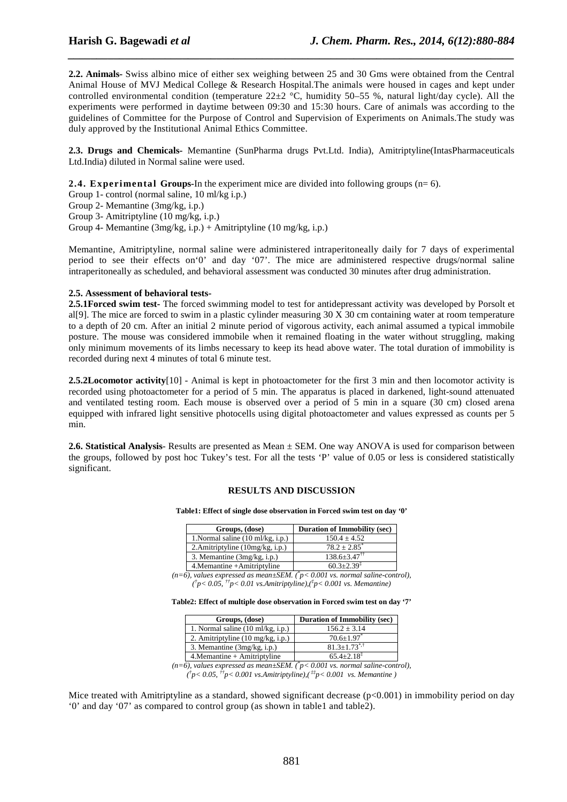**2.2. Animals-** Swiss albino mice of either sex weighing between 25 and 30 Gms were obtained from the Central Animal House of MVJ Medical College & Research Hospital.The animals were housed in cages and kept under controlled environmental condition (temperature  $22\pm 2$  °C, humidity 50–55 %, natural light/day cycle). All the experiments were performed in daytime between 09:30 and 15:30 hours. Care of animals was according to the guidelines of Committee for the Purpose of Control and Supervision of Experiments on Animals.The study was duly approved by the Institutional Animal Ethics Committee.

*\_\_\_\_\_\_\_\_\_\_\_\_\_\_\_\_\_\_\_\_\_\_\_\_\_\_\_\_\_\_\_\_\_\_\_\_\_\_\_\_\_\_\_\_\_\_\_\_\_\_\_\_\_\_\_\_\_\_\_\_\_\_\_\_\_\_\_\_\_\_\_\_\_\_\_\_\_\_*

**2.3. Drugs and Chemicals-** Memantine (SunPharma drugs Pvt.Ltd. India), Amitriptyline(IntasPharmaceuticals Ltd.India) diluted in Normal saline were used.

**2.4. Experimental Groups-**In the experiment mice are divided into following groups (n= 6).

Group 1- control (normal saline, 10 ml/kg i.p.)

Group 2- Memantine (3mg/kg, i.p.)

Group 3- Amitriptyline (10 mg/kg, i.p.)

Group 4- Memantine (3mg/kg, i.p.) + Amitriptyline (10 mg/kg, i.p.)

Memantine, Amitriptyline, normal saline were administered intraperitoneally daily for 7 days of experimental period to see their effects on'0' and day '07'. The mice are administered respective drugs/normal saline intraperitoneally as scheduled, and behavioral assessment was conducted 30 minutes after drug administration.

#### **2.5. Assessment of behavioral tests-**

**2.5.1Forced swim test-** The forced swimming model to test for antidepressant activity was developed by Porsolt et al[9]. The mice are forced to swim in a plastic cylinder measuring 30 X 30 cm containing water at room temperature to a depth of 20 cm. After an initial 2 minute period of vigorous activity, each animal assumed a typical immobile posture. The mouse was considered immobile when it remained floating in the water without struggling, making only minimum movements of its limbs necessary to keep its head above water. The total duration of immobility is recorded during next 4 minutes of total 6 minute test.

**2.5.2Locomotor activity**[10] - Animal is kept in photoactometer for the first 3 min and then locomotor activity is recorded using photoactometer for a period of 5 min. The apparatus is placed in darkened, light-sound attenuated and ventilated testing room. Each mouse is observed over a period of 5 min in a square (30 cm) closed arena equipped with infrared light sensitive photocells using digital photoactometer and values expressed as counts per 5 min.

**2.6. Statistical Analysis**- Results are presented as Mean ± SEM. One way ANOVA is used for comparison between the groups, followed by post hoc Tukey's test. For all the tests 'P' value of 0.05 or less is considered statistically significant.

### **RESULTS AND DISCUSSION**

#### **Table1: Effect of single dose observation in Forced swim test on day '0'**

| Groups, (dose)                              | <b>Duration of Immobility (sec)</b> |
|---------------------------------------------|-------------------------------------|
| 1. Normal saline $(10 \text{ ml/kg}, i.p.)$ | $150.4 \pm 4.52$                    |
| 2. Amitriptyline $(10mg/kg, i.p.)$          | $78.2 + 2.85$ <sup>*</sup>          |
| 3. Memantine (3mg/kg, i.p.)                 | $138.6 \pm 3.47^{\dagger\dagger}$   |
| 4. Memantine + Amitriptyline                | $60.3 + 2.39^{\ddagger}$            |

 $(n=6)$ , values expressed as mean $\pm$ SEM. ( $\degree p$  < 0.001 vs. normal saline-control), *( † p< 0.05, ††p< 0.01 vs.Amitriptyline),(‡ p< 0.001 vs. Memantine)* 

|  |  | Table2: Effect of multiple dose observation in Forced swim test on day '7' |
|--|--|----------------------------------------------------------------------------|
|--|--|----------------------------------------------------------------------------|

| Groups, (dose)                              | <b>Duration of Immobility (sec)</b> |
|---------------------------------------------|-------------------------------------|
| 1. Normal saline $(10 \text{ ml/kg}, i.p.)$ | $156.2 + 3.14$                      |
| 2. Amitriptyline $(10 \text{ mg/kg}, i.p.)$ | $70.6 \pm 1.97$                     |
| 3. Memantine (3mg/kg, i.p.)                 | $81.3 + 1.73^{*,+}$                 |
| 4. Memantine + Amitriptyline                | $65.4 + 2.18$ <sup>1</sup>          |

*(n=6), values expressed as mean±SEM. (\* p< 0.001 vs. normal saline-control), ( † p< 0.05, ††p< 0.001 vs.Amitriptyline),( ‡‡p< 0.001 vs. Memantine )* 

Mice treated with Amitriptyline as a standard, showed significant decrease  $(p<0.001)$  in immobility period on day '0' and day '07' as compared to control group (as shown in table1 and table2).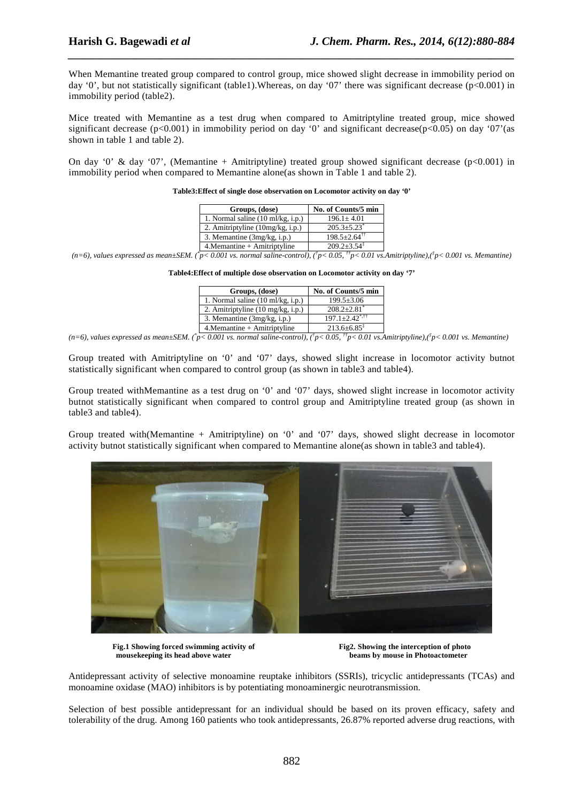When Memantine treated group compared to control group, mice showed slight decrease in immobility period on day '0', but not statistically significant (table1). Whereas, on day '07' there was significant decrease ( $p<0.001$ ) in immobility period (table2).

*\_\_\_\_\_\_\_\_\_\_\_\_\_\_\_\_\_\_\_\_\_\_\_\_\_\_\_\_\_\_\_\_\_\_\_\_\_\_\_\_\_\_\_\_\_\_\_\_\_\_\_\_\_\_\_\_\_\_\_\_\_\_\_\_\_\_\_\_\_\_\_\_\_\_\_\_\_\_*

Mice treated with Memantine as a test drug when compared to Amitriptyline treated group, mice showed significant decrease (p<0.001) in immobility period on day '0' and significant decrease(p<0.05) on day '07'(as shown in table 1 and table 2).

On day '0' & day '07', (Memantine + Amitriptyline) treated group showed significant decrease  $(p<0.001)$  in immobility period when compared to Memantine alone(as shown in Table 1 and table 2).

| Groups, (dose)                              | No. of Counts/5 min            |
|---------------------------------------------|--------------------------------|
| 1. Normal saline $(10 \text{ ml/kg}, i.p.)$ | $196.1 + 4.01$                 |
| 2. Amitriptyline (10mg/kg, i.p.)            | $205.3 \pm 5.23$ <sup>*</sup>  |
| 3. Memantine (3mg/kg, i.p.)                 | $198.5 \pm 2.64$ <sup>††</sup> |
| 4. Memantine + Amitriptyline                | $209.2 + 3.54^{\ddagger}$      |

**Table3:Effect of single dose observation on Locomotor activity on day '0'** 

 $(n=6)$ , values expressed as mean $\pm$ SEM. ( $\gamma$ p< 0.001 vs. normal saline-control), ( $\gamma$ p< 0.05,  $\gamma$ p< 0.01 vs. Amitriptyline),( $\gamma$ p< 0.001 vs. Memantine)

**Table4:Effect of multiple dose observation on Locomotor activity on day '7'** 

| Groups, (dose)                              | No. of Counts/5 min                 |
|---------------------------------------------|-------------------------------------|
| 1. Normal saline $(10 \text{ ml/kg}, i.p.)$ | $199.5 \pm 3.06$                    |
| 2. Amitriptyline $(10 \text{ mg/kg}, i.p.)$ | $208.2 + 2.81$ <sup>*</sup>         |
| 3. Memantine (3mg/kg, i.p.)                 | $197.1 + 2.42^{\text{*},\text{++}}$ |
| $4.$ Memantine + Amitriptyline              | $213.6 \pm 6.85^{\ddagger}$         |

 $(n=6)$ , values expressed as mean $\pm$ SEM. ( $\gamma$ p< 0.001 vs. normal saline-control), ( $\gamma$ p< 0.05,  $\gamma$ <sup>+</sup>p< 0.01 vs. Amitriptyline),( $\gamma$ p< 0.001 vs. Memantine)

Group treated with Amitriptyline on '0' and '07' days, showed slight increase in locomotor activity butnot statistically significant when compared to control group (as shown in table3 and table4).

Group treated withMemantine as a test drug on '0' and '07' days, showed slight increase in locomotor activity butnot statistically significant when compared to control group and Amitriptyline treated group (as shown in table3 and table4).

Group treated with(Memantine + Amitriptyline) on '0' and '07' days, showed slight decrease in locomotor activity butnot statistically significant when compared to Memantine alone(as shown in table3 and table4).



**Fig.1 Showing forced swimming activity of Transfer Activity of Transfer Activity of Transfer Activity of Transfer Activity of Transfer Activity of Transfer Activity of Transfer Activity of Transfer Activity of Transfer Ac mousekeeping its head above water beams by mouse in Photoactometer** 

Antidepressant activity of selective monoamine reuptake inhibitors (SSRIs), tricyclic antidepressants (TCAs) and monoamine oxidase (MAO) inhibitors is by potentiating monoaminergic neurotransmission.

Selection of best possible antidepressant for an individual should be based on its proven efficacy, safety and tolerability of the drug. Among 160 patients who took antidepressants, 26.87% reported adverse drug reactions, with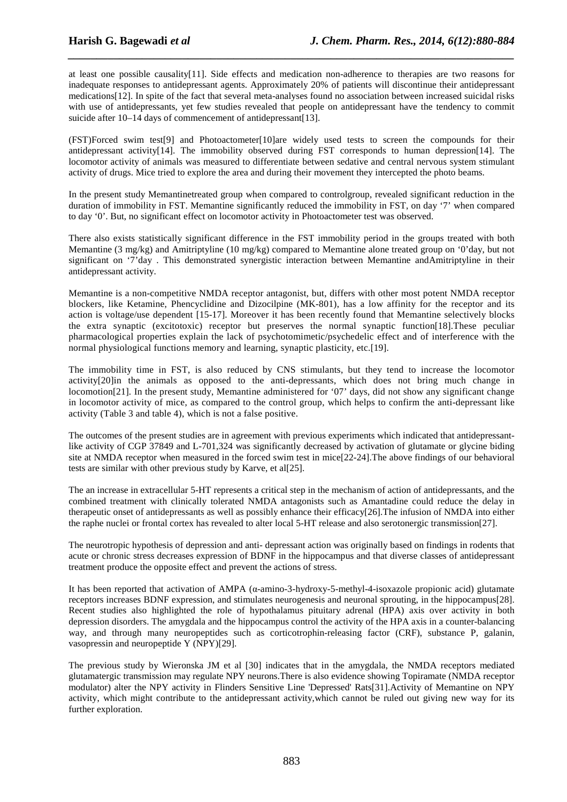at least one possible causality[11]. Side effects and medication non-adherence to therapies are two reasons for inadequate responses to antidepressant agents. Approximately 20% of patients will discontinue their antidepressant medications[12]. In spite of the fact that several meta-analyses found no association between increased suicidal risks with use of antidepressants, yet few studies revealed that people on antidepressant have the tendency to commit suicide after 10–14 days of commencement of antidepressant[13].

*\_\_\_\_\_\_\_\_\_\_\_\_\_\_\_\_\_\_\_\_\_\_\_\_\_\_\_\_\_\_\_\_\_\_\_\_\_\_\_\_\_\_\_\_\_\_\_\_\_\_\_\_\_\_\_\_\_\_\_\_\_\_\_\_\_\_\_\_\_\_\_\_\_\_\_\_\_\_*

(FST)Forced swim test[9] and Photoactometer[10]are widely used tests to screen the compounds for their antidepressant activity[14]. The immobility observed during FST corresponds to human depression[14]. The locomotor activity of animals was measured to differentiate between sedative and central nervous system stimulant activity of drugs. Mice tried to explore the area and during their movement they intercepted the photo beams.

In the present study Memantinetreated group when compared to controlgroup, revealed significant reduction in the duration of immobility in FST. Memantine significantly reduced the immobility in FST, on day '7' when compared to day '0'. But, no significant effect on locomotor activity in Photoactometer test was observed.

There also exists statistically significant difference in the FST immobility period in the groups treated with both Memantine (3 mg/kg) and Amitriptyline (10 mg/kg) compared to Memantine alone treated group on '0'day, but not significant on '7'day . This demonstrated synergistic interaction between Memantine andAmitriptyline in their antidepressant activity.

Memantine is a non-competitive NMDA receptor antagonist, but, differs with other most potent NMDA receptor blockers, like Ketamine, Phencyclidine and Dizocilpine (MK-801), has a low affinity for the receptor and its action is voltage/use dependent [15-17]. Moreover it has been recently found that Memantine selectively blocks the extra synaptic (excitotoxic) receptor but preserves the normal synaptic function[18].These peculiar pharmacological properties explain the lack of psychotomimetic/psychedelic effect and of interference with the normal physiological functions memory and learning, synaptic plasticity, etc.[19].

The immobility time in FST, is also reduced by CNS stimulants, but they tend to increase the locomotor activity[20]in the animals as opposed to the anti-depressants, which does not bring much change in locomotion[21]. In the present study, Memantine administered for '07' days, did not show any significant change in locomotor activity of mice, as compared to the control group, which helps to confirm the anti-depressant like activity (Table 3 and table 4), which is not a false positive.

The outcomes of the present studies are in agreement with previous experiments which indicated that antidepressantlike activity of CGP 37849 and L-701,324 was significantly decreased by activation of glutamate or glycine biding site at NMDA receptor when measured in the forced swim test in mice[22-24].The above findings of our behavioral tests are similar with other previous study by Karve, et al[25].

The an increase in extracellular 5-HT represents a critical step in the mechanism of action of antidepressants, and the combined treatment with clinically tolerated NMDA antagonists such as Amantadine could reduce the delay in therapeutic onset of antidepressants as well as possibly enhance their efficacy[26].The infusion of NMDA into either the raphe nuclei or frontal cortex has revealed to alter local 5-HT release and also serotonergic transmission[27].

The neurotropic hypothesis of depression and anti- depressant action was originally based on findings in rodents that acute or chronic stress decreases expression of BDNF in the hippocampus and that diverse classes of antidepressant treatment produce the opposite effect and prevent the actions of stress.

It has been reported that activation of AMPA (α-amino-3-hydroxy-5-methyl-4-isoxazole propionic acid) glutamate receptors increases BDNF expression, and stimulates neurogenesis and neuronal sprouting, in the hippocampus[28]. Recent studies also highlighted the role of hypothalamus pituitary adrenal (HPA) axis over activity in both depression disorders. The amygdala and the hippocampus control the activity of the HPA axis in a counter-balancing way, and through many neuropeptides such as corticotrophin-releasing factor (CRF), substance P, galanin, vasopressin and neuropeptide Y (NPY)[29].

The previous study by Wieronska JM et al [30] indicates that in the amygdala, the NMDA receptors mediated glutamatergic transmission may regulate NPY neurons.There is also evidence showing Topiramate (NMDA receptor modulator) alter the NPY activity in Flinders Sensitive Line 'Depressed' Rats[31].Activity of Memantine on NPY activity, which might contribute to the antidepressant activity,which cannot be ruled out giving new way for its further exploration.